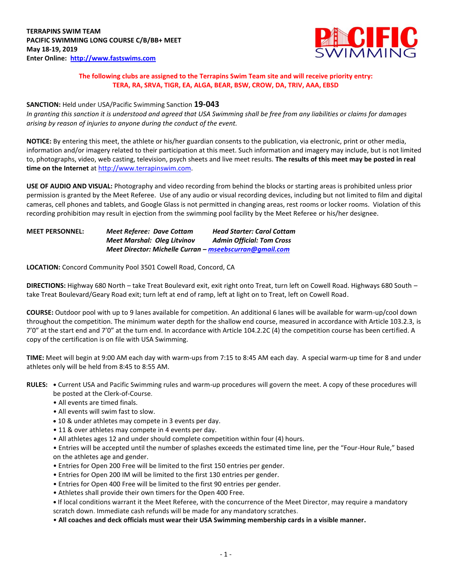

## **The following clubs are assigned to the Terrapins Swim Team site and will receive priority entry: TERA, RA, SRVA, TIGR, EA, ALGA, BEAR, BSW, CROW, DA, TRIV, AAA, EBSD**

### **SANCTION:** Held under USA/Pacific Swimming Sanction **19-043**

*In granting this sanction it is understood and agreed that USA Swimming shall be free from any liabilities or claims for damages arising by reason of injuries to anyone during the conduct of the event.*

**NOTICE:** By entering this meet, the athlete or his/her guardian consents to the publication, via electronic, print or other media, information and/or imagery related to their participation at this meet. Such information and imagery may include, but is not limited to, photographs, video, web casting, television, psych sheets and live meet results. **The results of this meet may be posted in real time on the Internet** at [http://www.terrapinswim.com.](http://www.terrapinswim.com/)

**USE OF AUDIO AND VISUAL:** Photography and video recording from behind the blocks or starting areas is prohibited unless prior permission is granted by the Meet Referee. Use of any audio or visual recording devices, including but not limited to film and digital cameras, cell phones and tablets, and Google Glass is not permitted in changing areas, rest rooms or locker rooms. Violation of this recording prohibition may result in ejection from the swimming pool facility by the Meet Referee or his/her designee.

| <b>MEET PERSONNEL:</b> | Meet Referee: Dave Cottam                               | <b>Head Starter: Carol Cottam</b> |
|------------------------|---------------------------------------------------------|-----------------------------------|
|                        | <b>Meet Marshal: Olea Litvinov</b>                      | <b>Admin Official: Tom Cross</b>  |
|                        | Meet Director: Michelle Curran – mseebscurran@gmail.com |                                   |

**LOCATION:** Concord Community Pool 3501 Cowell Road, Concord, CA

**DIRECTIONS:** Highway 680 North – take Treat Boulevard exit, exit right onto Treat, turn left on Cowell Road. Highways 680 South – take Treat Boulevard/Geary Road exit; turn left at end of ramp, left at light on to Treat, left on Cowell Road.

**COURSE:** Outdoor pool with up to 9 lanes available for competition. An additional 6 lanes will be available for warm-up/cool down throughout the competition. The minimum water depth for the shallow end course, measured in accordance with Article 103.2.3, is 7'0" at the start end and 7'0" at the turn end. In accordance with Article 104.2.2C (4) the competition course has been certified. A copy of the certification is on file with USA Swimming.

**TIME:** Meet will begin at 9:00 AM each day with warm-ups from 7:15 to 8:45 AM each day. A special warm-up time for 8 and under athletes only will be held from 8:45 to 8:55 AM.

**RULES: •** Current USA and Pacific Swimming rules and warm-up procedures will govern the meet. A copy of these procedures will be posted at the Clerk-of-Course.

- All events are timed finals.
- All events will swim fast to slow.
- 10 & under athletes may compete in 3 events per day.
- 11 & over athletes may compete in 4 events per day.
- All athletes ages 12 and under should complete competition within four (4) hours.

• Entries will be accepted until the number of splashes exceeds the estimated time line, per the "Four-Hour Rule," based on the athletes age and gender.

- Entries for Open 200 Free will be limited to the first 150 entries per gender.
- Entries for Open 200 IM will be limited to the first 130 entries per gender.
- Entries for Open 400 Free will be limited to the first 90 entries per gender.
- Athletes shall provide their own timers for the Open 400 Free.

**•** If local conditions warrant it the Meet Referee, with the concurrence of the Meet Director, may require a mandatory scratch down. Immediate cash refunds will be made for any mandatory scratches.

• **All coaches and deck officials must wear their USA Swimming membership cards in a visible manner.**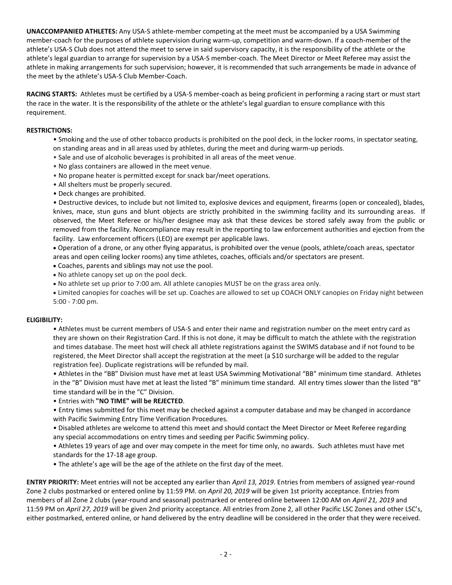**UNACCOMPANIED ATHLETES:** Any USA-S athlete-member competing at the meet must be accompanied by a USA Swimming member-coach for the purposes of athlete supervision during warm-up, competition and warm-down. If a coach-member of the athlete's USA-S Club does not attend the meet to serve in said supervisory capacity, it is the responsibility of the athlete or the athlete's legal guardian to arrange for supervision by a USA-S member-coach. The Meet Director or Meet Referee may assist the athlete in making arrangements for such supervision; however, it is recommended that such arrangements be made in advance of the meet by the athlete's USA-S Club Member-Coach.

**RACING STARTS:** Athletes must be certified by a USA-S member-coach as being proficient in performing a racing start or must start the race in the water. It is the responsibility of the athlete or the athlete's legal guardian to ensure compliance with this requirement.

#### **RESTRICTIONS:**

- Smoking and the use of other tobacco products is prohibited on the pool deck, in the locker rooms, in spectator seating, on standing areas and in all areas used by athletes, during the meet and during warm-up periods.
- Sale and use of alcoholic beverages is prohibited in all areas of the meet venue.
- No glass containers are allowed in the meet venue.
- No propane heater is permitted except for snack bar/meet operations.
- All shelters must be properly secured.
- Deck changes are prohibited.

• Destructive devices, to include but not limited to, explosive devices and equipment, firearms (open or concealed), blades, knives, mace, stun guns and blunt objects are strictly prohibited in the swimming facility and its surrounding areas. If observed, the Meet Referee or his/her designee may ask that these devices be stored safely away from the public or removed from the facility. Noncompliance may result in the reporting to law enforcement authorities and ejection from the facility. Law enforcement officers (LEO) are exempt per applicable laws.

 Operation of a drone, or any other flying apparatus, is prohibited over the venue (pools, athlete/coach areas, spectator areas and open ceiling locker rooms) any time athletes, coaches, officials and/or spectators are present.

- Coaches, parents and siblings may not use the pool.
- No athlete canopy set up on the pool deck.
- No athlete set up prior to 7:00 am. All athlete canopies MUST be on the grass area only.
- Limited canopies for coaches will be set up. Coaches are allowed to set up COACH ONLY canopies on Friday night between 5:00 - 7:00 pm.

#### **ELIGIBILITY:**

• Athletes must be current members of USA-S and enter their name and registration number on the meet entry card as they are shown on their Registration Card. If this is not done, it may be difficult to match the athlete with the registration and times database. The meet host will check all athlete registrations against the SWIMS database and if not found to be registered, the Meet Director shall accept the registration at the meet (a \$10 surcharge will be added to the regular registration fee). Duplicate registrations will be refunded by mail.

• Athletes in the "BB" Division must have met at least USA Swimming Motivational "BB" minimum time standard. Athletes in the "B" Division must have met at least the listed "B" minimum time standard. All entry times slower than the listed "B" time standard will be in the "C" Division.

#### • Entries with **"NO TIME" will be REJECTED**.

• Entry times submitted for this meet may be checked against a computer database and may be changed in accordance with Pacific Swimming Entry Time Verification Procedures.

• Disabled athletes are welcome to attend this meet and should contact the Meet Director or Meet Referee regarding any special accommodations on entry times and seeding per Pacific Swimming policy.

• Athletes 19 years of age and over may compete in the meet for time only, no awards. Such athletes must have met standards for the 17-18 age group.

• The athlete's age will be the age of the athlete on the first day of the meet.

**ENTRY PRIORITY:** Meet entries will not be accepted any earlier than *April 13, 2019*. Entries from members of assigned year-round Zone 2 clubs postmarked or entered online by 11:59 PM. on *April 20, 2019* will be given 1st priority acceptance. Entries from members of all Zone 2 clubs (year-round and seasonal) postmarked or entered online between 12:00 AM on *April 21, 2019* and 11:59 PM on *April 27, 2019* will be given 2nd priority acceptance. All entries from Zone 2, all other Pacific LSC Zones and other LSC's, either postmarked, entered online, or hand delivered by the entry deadline will be considered in the order that they were received.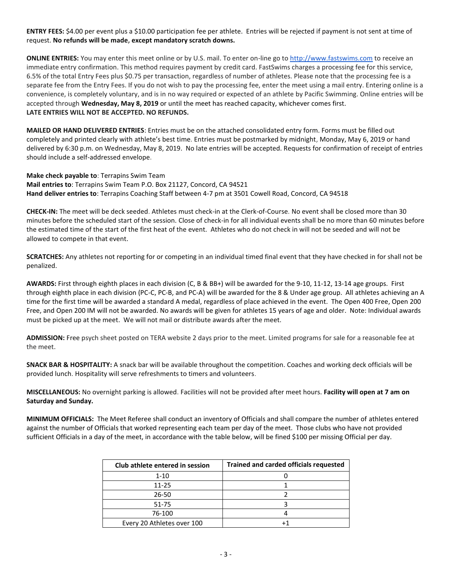**ENTRY FEES:** \$4.00 per event plus a \$10.00 participation fee per athlete. Entries will be rejected if payment is not sent at time of request. **No refunds will be made, except mandatory scratch downs.**

**ONLINE ENTRIES:** You may enter this meet online or by U.S. mail. To enter on-line go to [http://www.fastswims.com](http://www.fastswims.com/) to receive an immediate entry confirmation. This method requires payment by credit card. FastSwims charges a processing fee for this service, 6.5% of the total Entry Fees plus \$0.75 per transaction, regardless of number of athletes. Please note that the processing fee is a separate fee from the Entry Fees. If you do not wish to pay the processing fee, enter the meet using a mail entry. Entering online is a convenience, is completely voluntary, and is in no way required or expected of an athlete by Pacific Swimming. Online entries will be accepted through **Wednesday, May 8, 2019** or until the meet has reached capacity, whichever comes first. **LATE ENTRIES WILL NOT BE ACCEPTED. NO REFUNDS.**

**MAILED OR HAND DELIVERED ENTRIES**: Entries must be on the attached consolidated entry form. Forms must be filled out completely and printed clearly with athlete's best time. Entries must be postmarked by midnight, Monday, May 6, 2019 or hand delivered by 6:30 p.m. on Wednesday, May 8, 2019. No late entries will be accepted. Requests for confirmation of receipt of entries should include a self-addressed envelope.

**Make check payable to**: Terrapins Swim Team **Mail entries to**: Terrapins Swim Team P.O. Box 21127, Concord, CA 94521 **Hand deliver entries to**: Terrapins Coaching Staff between 4-7 pm at 3501 Cowell Road, Concord, CA 94518

**CHECK-IN:** The meet will be deck seeded. Athletes must check-in at the Clerk-of-Course. No event shall be closed more than 30 minutes before the scheduled start of the session. Close of check-in for all individual events shall be no more than 60 minutes before the estimated time of the start of the first heat of the event. Athletes who do not check in will not be seeded and will not be allowed to compete in that event.

**SCRATCHES:** Any athletes not reporting for or competing in an individual timed final event that they have checked in for shall not be penalized.

**AWARDS:** First through eighth places in each division (C, B & BB+) will be awarded for the 9-10, 11-12, 13-14 age groups. First through eighth place in each division (PC-C, PC-B, and PC-A) will be awarded for the 8 & Under age group. All athletes achieving an A time for the first time will be awarded a standard A medal, regardless of place achieved in the event. The Open 400 Free, Open 200 Free, and Open 200 IM will not be awarded. No awards will be given for athletes 15 years of age and older. Note: Individual awards must be picked up at the meet. We will not mail or distribute awards after the meet.

**ADMISSION:** Free psych sheet posted on TERA website 2 days prior to the meet. Limited programs for sale for a reasonable fee at the meet.

**SNACK BAR & HOSPITALITY:** A snack bar will be available throughout the competition. Coaches and working deck officials will be provided lunch. Hospitality will serve refreshments to timers and volunteers.

**MISCELLANEOUS:** No overnight parking is allowed. Facilities will not be provided after meet hours. **Facility will open at 7 am on Saturday and Sunday.**

**MINIMUM OFFICIALS:** The Meet Referee shall conduct an inventory of Officials and shall compare the number of athletes entered against the number of Officials that worked representing each team per day of the meet. Those clubs who have not provided sufficient Officials in a day of the meet, in accordance with the table below, will be fined \$100 per missing Official per day.

| Club athlete entered in session | <b>Trained and carded officials requested</b> |
|---------------------------------|-----------------------------------------------|
| $1 - 10$                        |                                               |
| $11 - 25$                       |                                               |
| 26-50                           |                                               |
| 51-75                           |                                               |
| 76-100                          |                                               |
| Every 20 Athletes over 100      |                                               |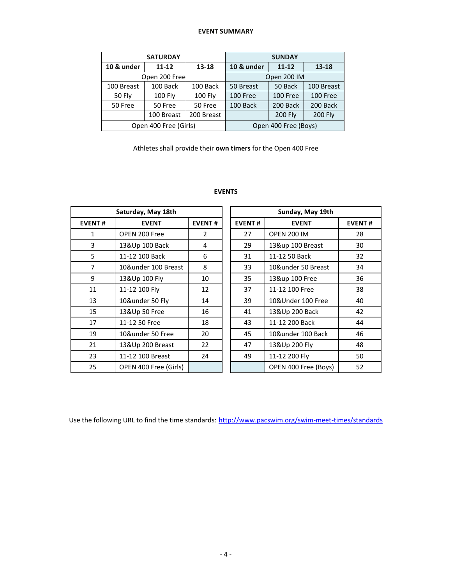#### **EVENT SUMMARY**

|               | <b>SATURDAY</b>       |            | <b>SUNDAY</b>        |                |                |  |  |
|---------------|-----------------------|------------|----------------------|----------------|----------------|--|--|
| 10 & under    | $11 - 12$             | 13-18      | 10 & under           | $11 - 12$      | 13-18          |  |  |
| Open 200 Free |                       |            | Open 200 IM          |                |                |  |  |
| 100 Breast    | 100 Back              | 100 Back   | 50 Back<br>50 Breast |                | 100 Breast     |  |  |
| <b>50 Fly</b> | <b>100 Fly</b>        | 100 Fly    | 100 Free             | 100 Free       | 100 Free       |  |  |
| 50 Free       | 50 Free               | 50 Free    | 100 Back             | 200 Back       | 200 Back       |  |  |
|               | 100 Breast            | 200 Breast |                      | <b>200 Fly</b> | <b>200 Fly</b> |  |  |
|               | Open 400 Free (Girls) |            | Open 400 Free (Boys) |                |                |  |  |

Athletes shall provide their **own timers** for the Open 400 Free

# **EVENTS**

|                               | Saturday, May 18th    |               |               | Sunday, May 19th     |               |  |
|-------------------------------|-----------------------|---------------|---------------|----------------------|---------------|--|
| <b>EVENT#</b><br><b>EVENT</b> |                       | <b>EVENT#</b> | <b>EVENT#</b> | <b>EVENT</b>         | <b>EVENT#</b> |  |
| 1                             | OPEN 200 Free         | 2             | 27            | <b>OPEN 200 IM</b>   | 28            |  |
| 3                             | 13&Up 100 Back        | 4             | 29            | 13&up 100 Breast     | 30            |  |
| 5                             | 11-12 100 Back        | 6             | 31            | 11-12 50 Back        | 32            |  |
| $\overline{7}$                | 10&under 100 Breast   | 8             | 33            | 10&under 50 Breast   | 34            |  |
| 9                             | 13&Up 100 Fly         | 10            | 35            | 13&up 100 Free       | 36            |  |
| 11                            | 11-12 100 Fly         | 12            | 37            | 11-12 100 Free       | 38            |  |
| 13                            | 10&under 50 Fly       | 14            | 39            | 10&Under 100 Free    | 40            |  |
| 15                            | 13&Up 50 Free         | 16            | 41            | 13&Up 200 Back       | 42            |  |
| 17                            | 11-12 50 Free         | 18            | 43            | 11-12 200 Back       | 44            |  |
| 19                            | 10&under 50 Free      | 20            | 45            | 10&under 100 Back    | 46            |  |
| 21                            | 13&Up 200 Breast      | 22            | 47            | 13&Up 200 Fly        | 48            |  |
| 23                            | 11-12 100 Breast      | 24            | 49            | 11-12 200 Fly        | 50            |  |
| 25                            | OPEN 400 Free (Girls) |               |               | OPEN 400 Free (Boys) | 52            |  |

|                | Saturday, May 18th    |               |                               | Sunday, May 19th     |               |  |  |  |
|----------------|-----------------------|---------------|-------------------------------|----------------------|---------------|--|--|--|
| NT#            | <b>EVENT</b>          | <b>EVENT#</b> | <b>EVENT#</b><br><b>EVENT</b> |                      | <b>EVENT#</b> |  |  |  |
| 1              | OPEN 200 Free         | 2             | 27                            | <b>OPEN 200 IM</b>   | 28            |  |  |  |
| 3              | 13&Up 100 Back        | 4             | 29                            | 13&up 100 Breast     | 30            |  |  |  |
| 5              | 11-12 100 Back        | 6             | 31                            | 11-12 50 Back        | 32            |  |  |  |
| 7              | 10&under 100 Breast   | 8             | 33                            | 10&under 50 Breast   | 34            |  |  |  |
| 9              | 13&Up 100 Fly         | 10            | 35                            | 13&up 100 Free       | 36            |  |  |  |
| $\overline{1}$ | 11-12 100 Fly         | 12            | 37                            | 11-12 100 Free       | 38            |  |  |  |
| L3             | 10&under 50 Fly       | 14            | 39                            | 10&Under 100 Free    | 40            |  |  |  |
| L5             | 13&Up 50 Free         | 16            | 41                            | 13&Up 200 Back       | 42            |  |  |  |
| L7             | 11-12 50 Free         | 18            | 43                            | 11-12 200 Back       | 44            |  |  |  |
| L9             | 10&under 50 Free      | 20            | 45                            | 10&under 100 Back    | 46            |  |  |  |
| $^{21}$        | 13&Up 200 Breast      | 22            | 47                            | 13&Up 200 Fly        | 48            |  |  |  |
| 23.            | 11-12 100 Breast      | 24            | 49                            | 11-12 200 Fly        | 50            |  |  |  |
| 25             | OPEN 400 Free (Girls) |               |                               | OPEN 400 Free (Boys) | 52            |  |  |  |

Use the following URL to find the time standards: <http://www.pacswim.org/swim-meet-times/standards>